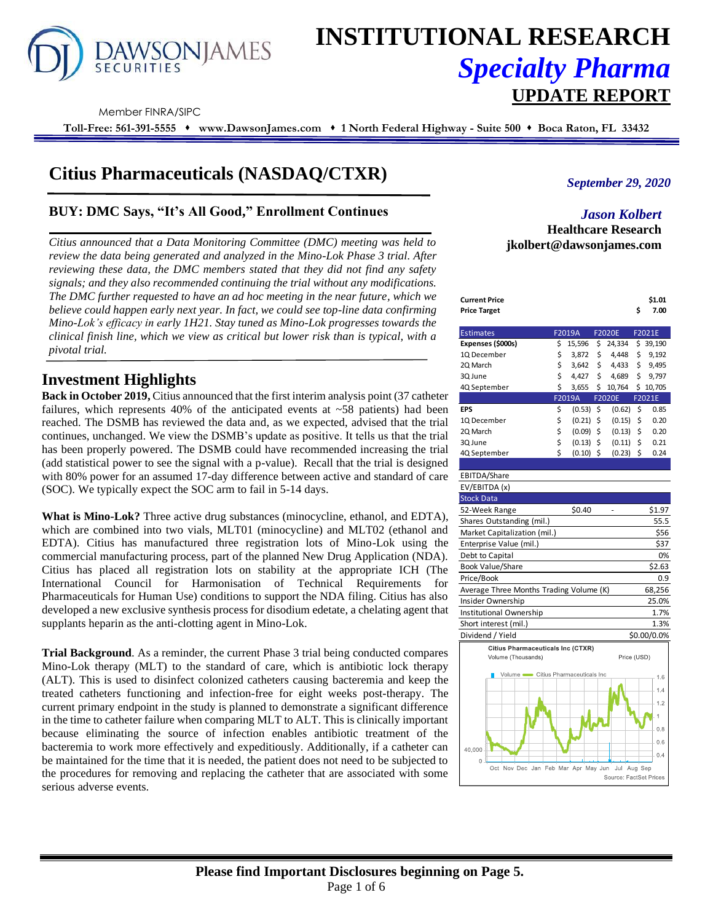

# **INSTITUTIONAL RESEARCH** *Specialty Pharma*  **UPDATE REPORT**

Member FINRA/SIPC

**Toll-Free: 561-391-5555** ⬧ **www.DawsonJames.com** ⬧ **1 North Federal Highway - Suite 500** ⬧ **Boca Raton, FL 33432**

# **Citius Pharmaceuticals (NASDAQ/CTXR)**

# **BUY: DMC Says, "It's All Good," Enrollment Continues**

*Citius announced that a Data Monitoring Committee (DMC) meeting was held to review the data being generated and analyzed in the Mino-Lok Phase 3 trial. After reviewing these data, the DMC members stated that they did not find any safety signals; and they also recommended continuing the trial without any modifications. The DMC further requested to have an ad hoc meeting in the near future, which we believe could happen early next year. In fact, we could see top-line data confirming Mino-Lok's efficacy in early 1H21. Stay tuned as Mino-Lok progresses towards the clinical finish line, which we view as critical but lower risk than is typical, with a pivotal trial.*

# **Investment Highlights**

**Back in October 2019,** Citius announced that the first interim analysis point (37 catheter failures, which represents 40% of the anticipated events at  $~58$  patients) had been reached. The DSMB has reviewed the data and, as we expected, advised that the trial continues, unchanged. We view the DSMB's update as positive. It tells us that the trial has been properly powered. The DSMB could have recommended increasing the trial (add statistical power to see the signal with a p-value). Recall that the trial is designed with 80% power for an assumed 17-day difference between active and standard of care (SOC). We typically expect the SOC arm to fail in 5-14 days.

**What is Mino-Lok?** Three active drug substances (minocycline, ethanol, and EDTA), which are combined into two vials, MLT01 (minocycline) and MLT02 (ethanol and EDTA). Citius has manufactured three registration lots of Mino-Lok using the commercial manufacturing process, part of the planned New Drug Application (NDA). Citius has placed all registration lots on stability at the appropriate ICH (The International Council for Harmonisation of Technical Requirements for Pharmaceuticals for Human Use) conditions to support the NDA filing. Citius has also developed a new exclusive synthesis process for disodium edetate, a chelating agent that supplants heparin as the anti-clotting agent in Mino-Lok.

**Trial Background**. As a reminder, the current Phase 3 trial being conducted compares Mino-Lok therapy (MLT) to the standard of care, which is antibiotic lock therapy (ALT). This is used to disinfect colonized catheters causing bacteremia and keep the treated catheters functioning and infection-free for eight weeks post-therapy. The current primary endpoint in the study is planned to demonstrate a significant difference in the time to catheter failure when comparing MLT to ALT. This is clinically important because eliminating the source of infection enables antibiotic treatment of the bacteremia to work more effectively and expeditiously. Additionally, if a catheter can be maintained for the time that it is needed, the patient does not need to be subjected to the procedures for removing and replacing the catheter that are associated with some serious adverse events.

# *September 29, 2020*

# *Jason Kolbert* **Healthcare Research jkolbert@dawsonjames.com**

| Current Price | \$1.01 |
|---------------|--------|
| Price Target  | 7.00   |

| <b>Estimates</b>  | F2019A |        |    | <b>F2020E</b> |    | F2021E   |
|-------------------|--------|--------|----|---------------|----|----------|
| Expenses (\$000s) | \$     | 15,596 | \$ | 24,334        | \$ | 39,190   |
| 1Q December       | \$     | 3,872  | \$ | 4,448         | \$ | 9,192    |
| 2Q March          | \$     | 3,642  | \$ | 4,433         | \$ | 9,495    |
| 3Q June           | \$     | 4,427  | Ś  | 4,689         | \$ | 9.797    |
| 4Q September      | \$     | 3,655  | \$ | 10,764        |    | \$10,705 |
|                   |        | F2019A |    | <b>F2020E</b> |    | F2021E   |
| EPS               | \$     | (0.53) | \$ | (0.62)        | \$ | 0.85     |
| 1Q December       | \$     | (0.21) | \$ | (0.15)        | \$ | 0.20     |
| 2Q March          | \$     | (0.09) | \$ | (0.13)        | \$ | 0.20     |
| 3Q June           | \$     | (0.13) | \$ | (0.11)        | Ś  | 0.21     |
| 4Q September      | \$     | (0.10) | \$ | (0.23)        | \$ | 0.24     |

#### EBITDA/Share EV/EBITDA (x) Stock Data 52-Week Range \$0.40 - \$1.97 Shares Outstanding (mil.) 55.5 Market Capitalization (mil.) \$56 Enterprise Value (mil.) \$37 Debt to Capital 0% Book Value/Share \$2.63 Price/Book 0.9



Source: FactSet Pric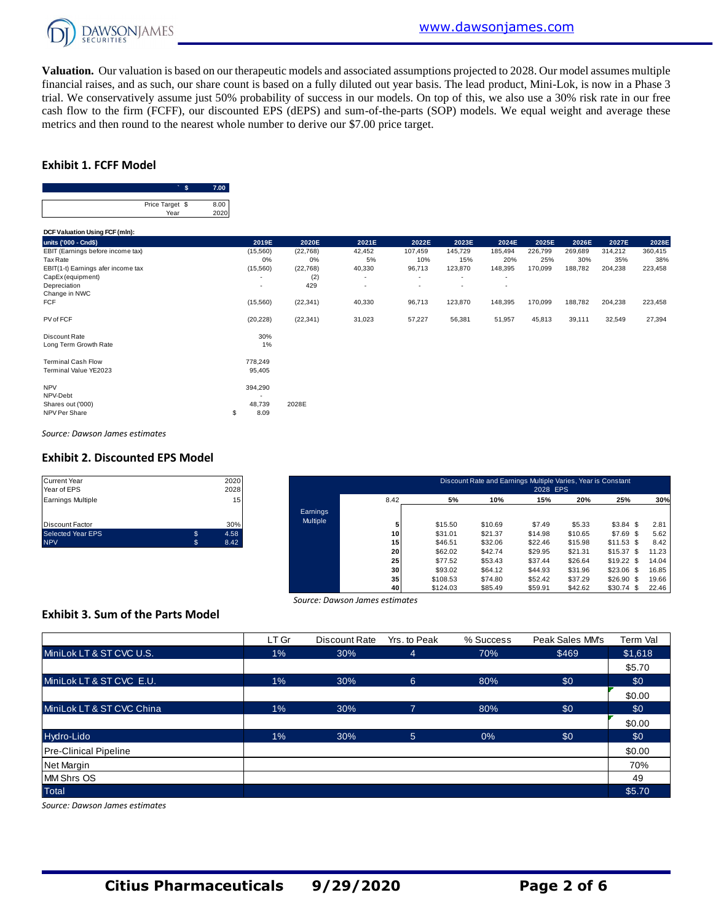

**Valuation.** Our valuation is based on our therapeutic models and associated assumptions projected to 2028. Our model assumes multiple financial raises, and as such, our share count is based on a fully diluted out year basis. The lead product, Mini-Lok, is now in a Phase 3 trial. We conservatively assume just 50% probability of success in our models. On top of this, we also use a 30% risk rate in our free cash flow to the firm (FCFF), our discounted EPS (dEPS) and sum-of-the-parts (SOP) models. We equal weight and average these metrics and then round to the nearest whole number to derive our \$7.00 price target.

# **Exhibit 1. FCFF Model**



| Price Target \$<br>Year            | 8.00<br>2020 |                |           |        |                          |         |                          |         |         |         |         |
|------------------------------------|--------------|----------------|-----------|--------|--------------------------|---------|--------------------------|---------|---------|---------|---------|
| DCF Valuation Using FCF (mln):     |              |                |           |        |                          |         |                          |         |         |         |         |
| units ('000 - Cnd\$)               |              | 2019E          | 2020E     | 2021E  | 2022E                    | 2023E   | 2024E                    | 2025E   | 2026E   | 2027E   | 2028E   |
| EBIT (Earnings before income tax)  |              | (15, 560)      | (22, 768) | 42,452 | 107,459                  | 145,729 | 185,494                  | 226,799 | 269,689 | 314,212 | 360,415 |
| Tax Rate                           |              | 0%             | 0%        | 5%     | 10%                      | 15%     | 20%                      | 25%     | 30%     | 35%     | 38%     |
| EBIT(1-t) Earnings afer income tax |              | (15, 560)      | (22, 768) | 40,330 | 96,713                   | 123,870 | 148,395                  | 170,099 | 188,782 | 204,238 | 223,458 |
| CapEx (equipment)                  |              | $\overline{a}$ | (2)       | ٠      | ٠                        | ٠       | ٠                        |         |         |         |         |
| Depreciation                       |              | ۰              | 429       | ٠      | $\overline{\phantom{a}}$ | $\sim$  | $\overline{\phantom{a}}$ |         |         |         |         |
| Change in NWC                      |              |                |           |        |                          |         |                          |         |         |         |         |
| <b>FCF</b>                         |              | (15,560)       | (22, 341) | 40,330 | 96,713                   | 123,870 | 148,395                  | 170,099 | 188,782 | 204,238 | 223,458 |
| PV of FCF                          |              | (20, 228)      | (22, 341) | 31,023 | 57,227                   | 56,381  | 51,957                   | 45,813  | 39,111  | 32,549  | 27,394  |
| Discount Rate                      |              | 30%            |           |        |                          |         |                          |         |         |         |         |
| Long Term Growth Rate              |              | 1%             |           |        |                          |         |                          |         |         |         |         |
| <b>Terminal Cash Flow</b>          |              | 778,249        |           |        |                          |         |                          |         |         |         |         |
| Terminal Value YE2023              |              | 95,405         |           |        |                          |         |                          |         |         |         |         |
| <b>NPV</b>                         |              | 394,290        |           |        |                          |         |                          |         |         |         |         |
| NPV-Debt                           |              |                |           |        |                          |         |                          |         |         |         |         |
| Shares out ('000)                  |              | 48,739         | 2028E     |        |                          |         |                          |         |         |         |         |
| NPV Per Share                      | \$           | 8.09           |           |        |                          |         |                          |         |         |         |         |
|                                    |              |                |           |        |                          |         |                          |         |         |         |         |

*Source: Dawson James estimates*

#### **Exhibit 2. Discounted EPS Model**

| <b>Current Year</b>      |    | 2020 |
|--------------------------|----|------|
| Year of EPS              |    | 2028 |
| <b>Earnings Multiple</b> |    | 15   |
|                          |    |      |
| <b>Discount Factor</b>   |    | 30%  |
| <b>Selected Year EPS</b> | \$ | 4.58 |
| <b>NPV</b>               | S  | 8.42 |

| Current Year<br>Year of EPS |     | 2020<br>2028 |                 | Discount Rate and Earnings Multiple Varies, Year is Constant<br>2028 EPS |          |         |         |         |             |       |  |  |
|-----------------------------|-----|--------------|-----------------|--------------------------------------------------------------------------|----------|---------|---------|---------|-------------|-------|--|--|
| Earnings Multiple           |     | 15           |                 | 8.42                                                                     | 5%       | 10%     | 15%     | 20%     | 25%         | 30%   |  |  |
|                             |     |              | Earnings        |                                                                          |          |         |         |         |             |       |  |  |
| Discount Factor             |     | 30%          | <b>Multiple</b> |                                                                          | \$15.50  | \$10.69 | \$7.49  | \$5.33  | $$3.84$ \$  | 2.81  |  |  |
| Selected Year EPS           | \$. | 4.58         |                 | 10                                                                       | \$31.01  | \$21.37 | \$14.98 | \$10.65 | $$7.69$ \$  | 5.62  |  |  |
| <b>NPV</b>                  | s.  | 8.42         |                 | 15                                                                       | \$46.51  | \$32.06 | \$22.46 | \$15.98 | $$11.53$ \$ | 8.42  |  |  |
|                             |     |              |                 | 20                                                                       | \$62.02  | \$42.74 | \$29.95 | \$21.31 | $$15.37$ \$ | 11.23 |  |  |
|                             |     |              |                 | 25                                                                       | \$77.52  | \$53.43 | \$37.44 | \$26.64 | $$19.22$ \$ | 14.04 |  |  |
|                             |     |              |                 | 30                                                                       | \$93.02  | \$64.12 | \$44.93 | \$31.96 | $$23.06$ \$ | 16.85 |  |  |
|                             |     |              |                 | 35                                                                       | \$108.53 | \$74.80 | \$52.42 | \$37.29 | $$26.90$ \$ | 19.66 |  |  |
|                             |     |              |                 | 40                                                                       | \$124.03 | \$85.49 | \$59.91 | \$42.62 | $$30.74$ \$ | 22.46 |  |  |

# **Exhibit 3. Sum of the Parts Model**

| Source: Dawson James estimates           |       |               |                |           |                 |          |  |  |
|------------------------------------------|-------|---------------|----------------|-----------|-----------------|----------|--|--|
| <b>Exhibit 3. Sum of the Parts Model</b> |       |               |                |           |                 |          |  |  |
|                                          | LT Gr | Discount Rate | Yrs. to Peak   | % Success | Peak Sales MM's | Term Val |  |  |
| MiniLok LT & ST CVC U.S.                 | $1\%$ | 30%           | 4              | 70%       | \$469           | \$1,618  |  |  |
|                                          |       |               |                |           |                 | \$5.70   |  |  |
| MiniLok LT & ST CVC E.U.                 | $1\%$ | 30%           | $6^{\circ}$    | 80%       | \$0             | \$0      |  |  |
|                                          |       |               |                |           |                 | \$0.00   |  |  |
| MiniLok LT & ST CVC China                | $1\%$ | 30%           | $\overline{7}$ | 80%       | \$0             | \$0      |  |  |
|                                          |       |               |                |           |                 | \$0.00   |  |  |
| Hydro-Lido                               | $1\%$ | 30%           | 5 <sup>5</sup> | $0\%$     | \$0             | \$0      |  |  |
| <b>Pre-Clinical Pipeline</b>             |       |               |                |           |                 | \$0.00   |  |  |
| Net Margin                               |       |               |                |           |                 | 70%      |  |  |
| <b>MM Shrs OS</b>                        |       |               |                |           |                 | 49       |  |  |
| <b>Total</b>                             |       |               |                |           |                 | \$5.70   |  |  |

*Source: Dawson James estimates*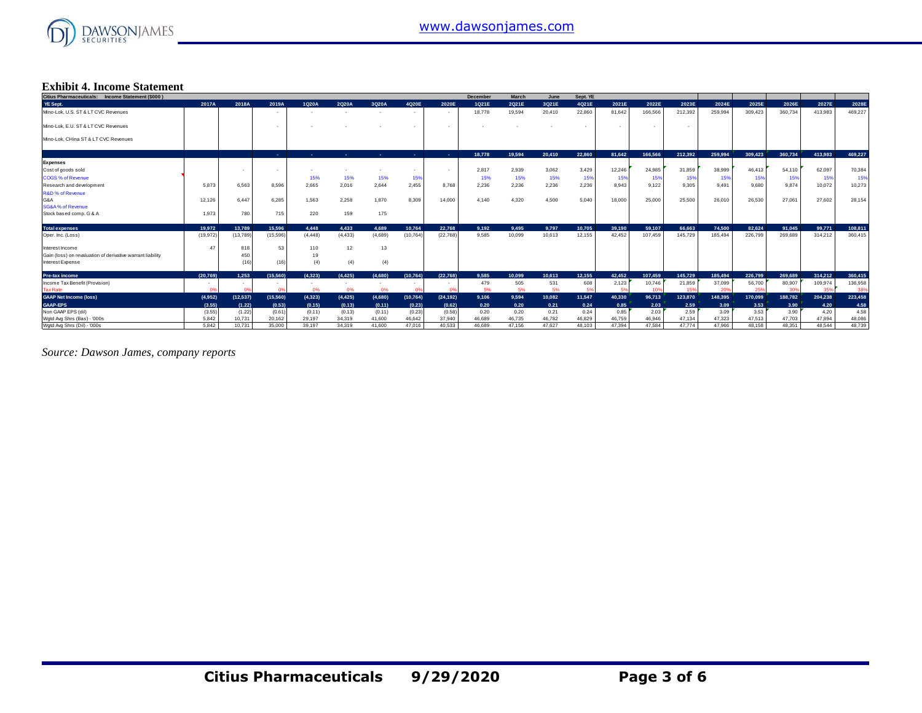

#### **Exhibit 4. Income Statement**

| Citius Pharmaceuticals: Income Statement (\$000)           |           |           |                          |            |            |                          |            |                | <b>December</b> | March  | June   | Sept. YE |        |         |         |         |         |         |         |         |
|------------------------------------------------------------|-----------|-----------|--------------------------|------------|------------|--------------------------|------------|----------------|-----------------|--------|--------|----------|--------|---------|---------|---------|---------|---------|---------|---------|
| YE Sept.                                                   | 2017A     | 2018A     | 2019A                    | 1Q20A      | 2Q20A      | 3Q20A                    | 4Q20E      | 2020E          | 1Q21E           | 2Q21E  | 3Q21E  | 4Q21E    | 2021E  | 2022E   | 2023E   | 2024E   | 2025E   | 2026E   | 2027E   | 2028E   |
| Mino-Lok, U.S. ST & LT CVC Revenues                        |           |           | $\overline{\phantom{a}}$ |            |            | $\overline{\phantom{a}}$ | $\sim$     |                | 18,778          | 19,594 | 20,410 | 22,860   | 81.642 | 166,566 | 212,392 | 259.994 | 309.423 | 360,734 | 413,983 | 469,227 |
| Mino-Lok, E.U. ST & LT CVC Revenues                        |           |           |                          |            |            |                          | $\sim$     | . .            |                 |        |        |          |        |         | ۰       |         |         |         |         |         |
| Mino-Lok, CHina ST & LT CVC Revenues                       |           |           |                          |            |            |                          |            |                |                 |        |        |          |        |         |         |         |         |         |         |         |
|                                                            |           |           | <b>Section</b>           | <b>COL</b> | <b>COL</b> | ۰.                       | <b>COL</b> | <b>College</b> | 18.778          | 19,594 | 20,410 | 22.860   | 81.642 | 166.566 | 212.392 | 259,994 | 309.423 | 360.734 | 413.983 | 469.227 |
| <b>Expenses</b>                                            |           |           |                          |            |            |                          |            |                |                 |        |        |          |        |         |         |         |         |         |         |         |
| Cost of goods sold                                         |           |           |                          |            |            | ٠                        | $\sim$     | . .            | 2,817           | 2,939  | 3,062  | 3,429    | 12,246 | 24.985  | 31,859  | 38,999  | 46,413  | 54,110  | 62,097  | 70,384  |
| COGS % of Revenue                                          |           |           |                          | 15%        | 15%        | 15%                      | 15%        |                | 15%             | 15%    | 15%    | 15%      | 15%    | 15%     | 15%     | 15%     | 15%     | 15%     | 15%     | 15%     |
| Research and development                                   | 5.873     | 6.563     | 8,596                    | 2.665      | 2.016      | 2,644                    | 2.455      | 8.768          | 2.236           | 2.236  | 2,236  | 2.236    | 8.943  | 9.122   | 9.305   | 9.491   | 9,680   | 9.874   | 10,072  | 10,273  |
| <b>R&amp;D % of Revenue</b>                                |           |           |                          |            |            |                          |            |                |                 |        |        |          |        |         |         |         |         |         |         |         |
| G&A                                                        | 12,126    | 6.447     | 6,285                    | 1,563      | 2,258      | 1,870                    | 8,309      | 14,000         | 4.140           | 4,320  | 4,500  | 5,040    | 18,000 | 25,000  | 25,500  | 26,010  | 26,530  | 27,061  | 27,602  | 28,154  |
| <b>SG&amp;A% of Revenue</b>                                |           |           |                          |            |            |                          |            |                |                 |        |        |          |        |         |         |         |         |         |         |         |
| Stock based comp. G & A                                    | 1.973     | 780       | 715                      | 220        | 159        | 175                      |            |                |                 |        |        |          |        |         |         |         |         |         |         |         |
| <b>Total expenses</b>                                      | 19.972    | 13,789    | 15,596                   | 4.448      | 4.433      | 4.689                    | 10.764     | 22,768         | 9.192           | 9.495  | 9,797  | 10.705   | 39,190 | 59,107  | 66.663  | 74.500  | 82.624  | 91.045  | 99,771  | 108,811 |
| Oper. Inc. (Loss)                                          | (19, 972) | (13, 789) | (15, 596)                | (4, 448)   | (4, 433)   | (4,689)                  | (10, 764)  | (22, 768)      | 9.585           | 10.099 | 10,613 | 12.155   | 42.452 | 107.459 | 145,729 | 185.494 | 226,799 | 269,689 | 314.212 | 360.415 |
| Interest Income                                            |           | 818       | 53                       | 110        | 12         | 13                       |            |                |                 |        |        |          |        |         |         |         |         |         |         |         |
| Gain (loss) on revaluation of derivative warrant liability |           | 450       |                          | 19         |            |                          |            |                |                 |        |        |          |        |         |         |         |         |         |         |         |
| Interest Expense                                           |           | (16)      | (16)                     | (4)        | (4)        | (4)                      |            |                |                 |        |        |          |        |         |         |         |         |         |         |         |
| Pre-tax income                                             | (20.769)  | 1.253     | (15.560)                 | (4.323)    | (4.425)    | (4.680)                  | (10.764)   | (22.768)       | 9.585           | 10.099 | 10.613 | 12.155   | 42.452 | 107.459 | 145,729 | 185,494 | 226.799 | 269,689 | 314,212 | 360,415 |
| Income Tax Benefit (Provision)                             |           |           |                          |            |            |                          |            |                | 479             | 505    | 531    | 608      | 2,123  | 10,746  | 21,859  | 37,099  | 56,700  | 80,907  | 109,974 | 136,958 |
| <b>Tax Rate</b>                                            | 0%        |           | 0%                       | 0%         | 0%         | 0%                       |            |                | 5%              | 5%     | 5%     | 5%       | 5%     | 10%     | 15%     | 20%     | 25%     | 309     | 359     | 389     |
| <b>GAAP Net Income (loss)</b>                              | (4,952)   | (12, 537) | (15, 560)                | (4,323)    | (4, 425)   | (4,680)                  | (10, 764)  | (24, 192)      | 9,106           | 9,594  | 10,082 | 11,547   | 40,330 | 96,713  | 123,870 | 148.395 | 170.099 | 188.782 | 204,238 | 223,458 |
| <b>GAAP-EPS</b>                                            | (3.55)    | (1.22)    | (0.53)                   | (0.15)     | (0.13)     | (0.11)                   | (0.23)     | (0.62)         | 0.20            | 0.20   | 0.21   | 0.24     | 0.85   | 2.03    | 2.59    | 3.09    | 3.53    | 3.90    | 4.20    | 4.58    |
| Non GAAP EPS (dil)                                         | (3.55)    | (1.22)    | (0.61)                   | (0.11)     | (0.13)     | (0.11)                   | (0.23)     | (0.58)         | 0.20            | 0.20   | 0.21   | 0.24     | 0.85   | 2.03    | 2.59    | 3.09    | 3.53    | 3.90    | 4.20    | 4.58    |
| Wotd Avo Shrs (Bas) - '000s                                | 5.842     | 10.731    | 20.162                   | 29.197     | 34.319     | 41.600                   | 46.642     | 37,940         | 46,689          | 46.735 | 46.782 | 46,829   | 46.759 | 46.946  | 47.134  | 47.323  | 47.513  | 47.703  | 47.894  | 48,086  |
| Wgtd Avg Shrs (Dil) - '000s                                | 5.842     | 10.731    | 35,000                   | 39.197     | 34.319     | 41,600                   | 47.016     | 40.533         | 46,689          | 47.156 | 47.627 | 48,103   | 47.394 | 47.584  | 47.774  | 47.966  | 48.158  | 48.351  | 48.544  | 48.739  |

*Source: Dawson James, company reports*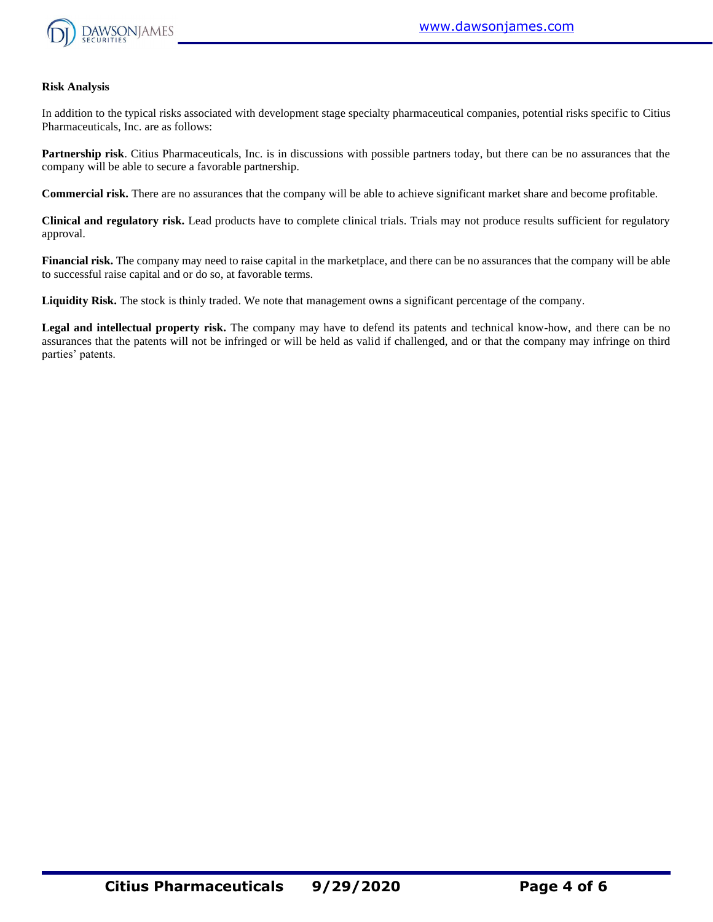

# **Risk Analysis**

In addition to the typical risks associated with development stage specialty pharmaceutical companies, potential risks specific to Citius Pharmaceuticals, Inc. are as follows:

**Partnership risk**. Citius Pharmaceuticals, Inc. is in discussions with possible partners today, but there can be no assurances that the company will be able to secure a favorable partnership.

**Commercial risk.** There are no assurances that the company will be able to achieve significant market share and become profitable.

**Clinical and regulatory risk.** Lead products have to complete clinical trials. Trials may not produce results sufficient for regulatory approval.

**Financial risk.** The company may need to raise capital in the marketplace, and there can be no assurances that the company will be able to successful raise capital and or do so, at favorable terms.

**Liquidity Risk.** The stock is thinly traded. We note that management owns a significant percentage of the company.

**Legal and intellectual property risk.** The company may have to defend its patents and technical know-how, and there can be no assurances that the patents will not be infringed or will be held as valid if challenged, and or that the company may infringe on third parties' patents.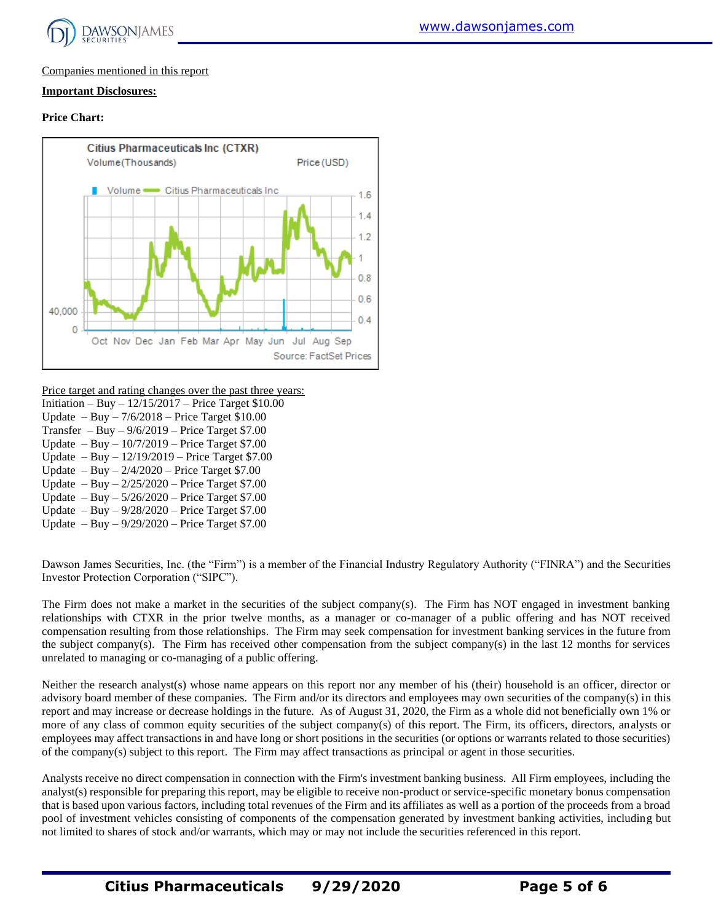

# Companies mentioned in this report

# **Important Disclosures:**

# **Price Chart:**



Price target and rating changes over the past three years:

Initiation – Buy – 12/15/2017 – Price Target \$10.00 Update – Buy – 7/6/2018 – Price Target \$10.00 Transfer – Buy –  $9/6/2019$  – Price Target \$7.00 Update – Buy – 10/7/2019 – Price Target \$7.00 Update – Buy – 12/19/2019 – Price Target \$7.00 Update – Buy –  $2/4/2020$  – Price Target \$7.00 Update – Buy – 2/25/2020 – Price Target \$7.00 Update – Buy – 5/26/2020 – Price Target \$7.00 Update – Buy – 9/28/2020 – Price Target \$7.00 Update – Buy – 9/29/2020 – Price Target \$7.00

Dawson James Securities, Inc. (the "Firm") is a member of the Financial Industry Regulatory Authority ("FINRA") and the Securities Investor Protection Corporation ("SIPC").

The Firm does not make a market in the securities of the subject company(s). The Firm has NOT engaged in investment banking relationships with CTXR in the prior twelve months, as a manager or co-manager of a public offering and has NOT received compensation resulting from those relationships. The Firm may seek compensation for investment banking services in the future from the subject company(s). The Firm has received other compensation from the subject company(s) in the last 12 months for services unrelated to managing or co-managing of a public offering.

Neither the research analyst(s) whose name appears on this report nor any member of his (their) household is an officer, director or advisory board member of these companies. The Firm and/or its directors and employees may own securities of the company(s) in this report and may increase or decrease holdings in the future. As of August 31, 2020, the Firm as a whole did not beneficially own 1% or more of any class of common equity securities of the subject company(s) of this report. The Firm, its officers, directors, analysts or employees may affect transactions in and have long or short positions in the securities (or options or warrants related to those securities) of the company(s) subject to this report. The Firm may affect transactions as principal or agent in those securities.

Analysts receive no direct compensation in connection with the Firm's investment banking business. All Firm employees, including the analyst(s) responsible for preparing this report, may be eligible to receive non-product or service-specific monetary bonus compensation that is based upon various factors, including total revenues of the Firm and its affiliates as well as a portion of the proceeds from a broad pool of investment vehicles consisting of components of the compensation generated by investment banking activities, including but not limited to shares of stock and/or warrants, which may or may not include the securities referenced in this report.